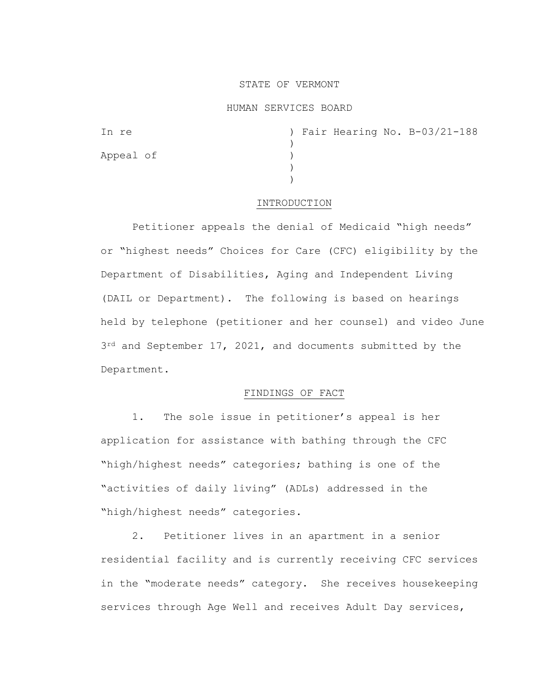### STATE OF VERMONT

### HUMAN SERVICES BOARD

| In re     |  |  | ) Fair Hearing No. B-03/21-188 |
|-----------|--|--|--------------------------------|
|           |  |  |                                |
| Appeal of |  |  |                                |
|           |  |  |                                |
|           |  |  |                                |

### INTRODUCTION

Petitioner appeals the denial of Medicaid "high needs" or "highest needs" Choices for Care (CFC) eligibility by the Department of Disabilities, Aging and Independent Living (DAIL or Department). The following is based on hearings held by telephone (petitioner and her counsel) and video June  $3^{rd}$  and September 17, 2021, and documents submitted by the Department.

# FINDINGS OF FACT

1. The sole issue in petitioner's appeal is her application for assistance with bathing through the CFC "high/highest needs" categories; bathing is one of the "activities of daily living" (ADLs) addressed in the "high/highest needs" categories.

2. Petitioner lives in an apartment in a senior residential facility and is currently receiving CFC services in the "moderate needs" category. She receives housekeeping services through Age Well and receives Adult Day services,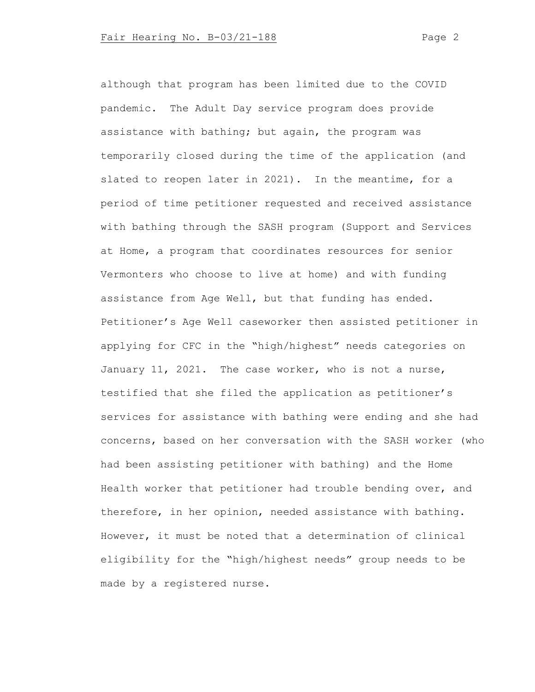although that program has been limited due to the COVID pandemic. The Adult Day service program does provide assistance with bathing; but again, the program was temporarily closed during the time of the application (and slated to reopen later in 2021). In the meantime, for a period of time petitioner requested and received assistance with bathing through the SASH program (Support and Services at Home, a program that coordinates resources for senior Vermonters who choose to live at home) and with funding assistance from Age Well, but that funding has ended. Petitioner's Age Well caseworker then assisted petitioner in applying for CFC in the "high/highest" needs categories on January 11, 2021. The case worker, who is not a nurse, testified that she filed the application as petitioner's services for assistance with bathing were ending and she had concerns, based on her conversation with the SASH worker (who had been assisting petitioner with bathing) and the Home Health worker that petitioner had trouble bending over, and therefore, in her opinion, needed assistance with bathing. However, it must be noted that a determination of clinical eligibility for the "high/highest needs" group needs to be made by a registered nurse.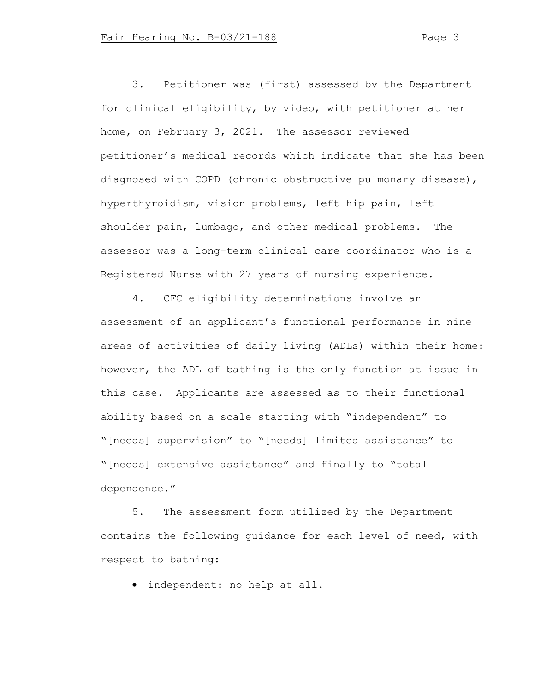3. Petitioner was (first) assessed by the Department for clinical eligibility, by video, with petitioner at her home, on February 3, 2021. The assessor reviewed petitioner's medical records which indicate that she has been diagnosed with COPD (chronic obstructive pulmonary disease), hyperthyroidism, vision problems, left hip pain, left shoulder pain, lumbago, and other medical problems. The assessor was a long-term clinical care coordinator who is a Registered Nurse with 27 years of nursing experience.

4. CFC eligibility determinations involve an assessment of an applicant's functional performance in nine areas of activities of daily living (ADLs) within their home: however, the ADL of bathing is the only function at issue in this case. Applicants are assessed as to their functional ability based on a scale starting with "independent" to "[needs] supervision" to "[needs] limited assistance" to "[needs] extensive assistance" and finally to "total dependence."

5. The assessment form utilized by the Department contains the following guidance for each level of need, with respect to bathing:

• independent: no help at all.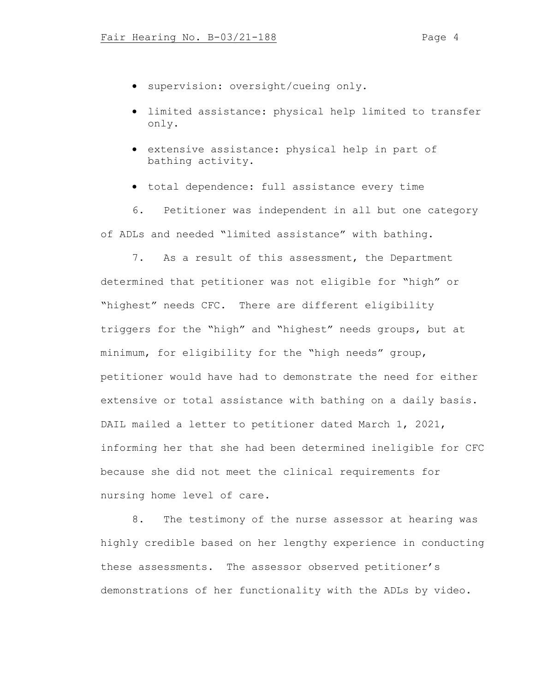- supervision: oversight/cueing only.
- limited assistance: physical help limited to transfer only.
- extensive assistance: physical help in part of bathing activity.
- total dependence: full assistance every time

6. Petitioner was independent in all but one category of ADLs and needed "limited assistance" with bathing.

7. As a result of this assessment, the Department determined that petitioner was not eligible for "high" or "highest" needs CFC. There are different eligibility triggers for the "high" and "highest" needs groups, but at minimum, for eligibility for the "high needs" group, petitioner would have had to demonstrate the need for either extensive or total assistance with bathing on a daily basis. DAIL mailed a letter to petitioner dated March 1, 2021, informing her that she had been determined ineligible for CFC because she did not meet the clinical requirements for nursing home level of care.

8. The testimony of the nurse assessor at hearing was highly credible based on her lengthy experience in conducting these assessments. The assessor observed petitioner's demonstrations of her functionality with the ADLs by video.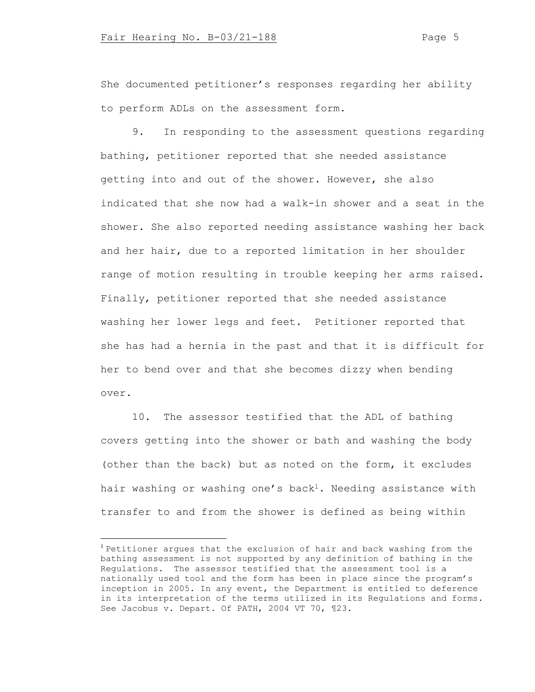She documented petitioner's responses regarding her ability to perform ADLs on the assessment form.

9. In responding to the assessment questions regarding bathing, petitioner reported that she needed assistance getting into and out of the shower. However, she also indicated that she now had a walk-in shower and a seat in the shower. She also reported needing assistance washing her back and her hair, due to a reported limitation in her shoulder range of motion resulting in trouble keeping her arms raised. Finally, petitioner reported that she needed assistance washing her lower legs and feet. Petitioner reported that she has had a hernia in the past and that it is difficult for her to bend over and that she becomes dizzy when bending over.

10. The assessor testified that the ADL of bathing covers getting into the shower or bath and washing the body (other than the back) but as noted on the form, it excludes hair washing or washing one's back<sup>1</sup>. Needing assistance with transfer to and from the shower is defined as being within

<sup>1</sup> Petitioner argues that the exclusion of hair and back washing from the bathing assessment is not supported by any definition of bathing in the Regulations. The assessor testified that the assessment tool is a nationally used tool and the form has been in place since the program's inception in 2005. In any event, the Department is entitled to deference in its interpretation of the terms utilized in its Regulations and forms. See Jacobus v. Depart. Of PATH, 2004 VT 70, ¶23.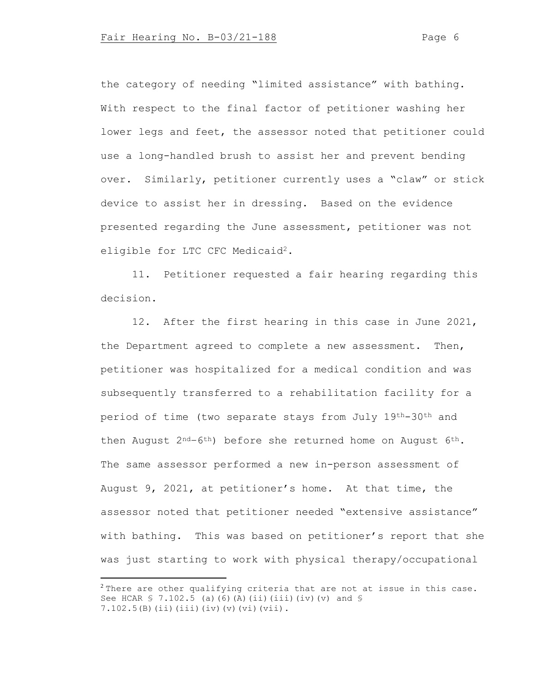the category of needing "limited assistance" with bathing. With respect to the final factor of petitioner washing her lower legs and feet, the assessor noted that petitioner could use a long-handled brush to assist her and prevent bending over. Similarly, petitioner currently uses a "claw" or stick device to assist her in dressing. Based on the evidence presented regarding the June assessment, petitioner was not eligible for LTC CFC Medicaid<sup>2</sup>.

11. Petitioner requested a fair hearing regarding this decision.

12. After the first hearing in this case in June 2021, the Department agreed to complete a new assessment. Then, petitioner was hospitalized for a medical condition and was subsequently transferred to a rehabilitation facility for a period of time (two separate stays from July 19th-30th and then August  $2^{nd}-6^{th}$ ) before she returned home on August  $6^{th}$ . The same assessor performed a new in-person assessment of August 9, 2021, at petitioner's home. At that time, the assessor noted that petitioner needed "extensive assistance" with bathing. This was based on petitioner's report that she was just starting to work with physical therapy/occupational

<sup>&</sup>lt;sup>2</sup> There are other qualifying criteria that are not at issue in this case. See HCAR  $$ 7.102.5$  (a)(6)(A)(ii)(iii)(iv)(v) and  $$$ 7.102.5(B)(ii)(iii)(iv)(v)(vi)(vii).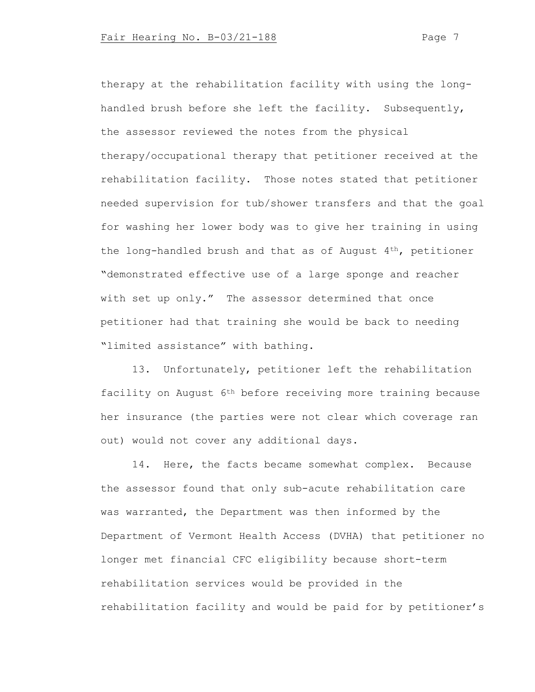therapy at the rehabilitation facility with using the longhandled brush before she left the facility. Subsequently, the assessor reviewed the notes from the physical therapy/occupational therapy that petitioner received at the rehabilitation facility. Those notes stated that petitioner needed supervision for tub/shower transfers and that the goal for washing her lower body was to give her training in using the long-handled brush and that as of August 4th, petitioner "demonstrated effective use of a large sponge and reacher with set up only." The assessor determined that once petitioner had that training she would be back to needing "limited assistance" with bathing.

13. Unfortunately, petitioner left the rehabilitation facility on August 6th before receiving more training because her insurance (the parties were not clear which coverage ran out) would not cover any additional days.

14. Here, the facts became somewhat complex. Because the assessor found that only sub-acute rehabilitation care was warranted, the Department was then informed by the Department of Vermont Health Access (DVHA) that petitioner no longer met financial CFC eligibility because short-term rehabilitation services would be provided in the rehabilitation facility and would be paid for by petitioner's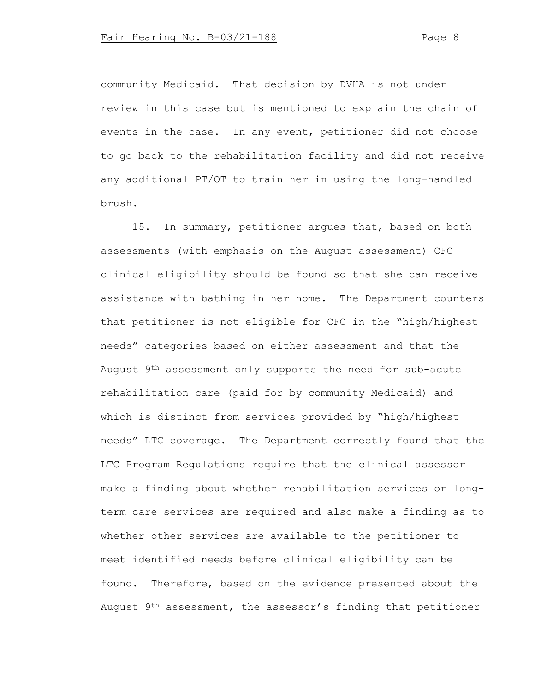community Medicaid. That decision by DVHA is not under review in this case but is mentioned to explain the chain of events in the case. In any event, petitioner did not choose to go back to the rehabilitation facility and did not receive any additional PT/OT to train her in using the long-handled brush.

15. In summary, petitioner argues that, based on both assessments (with emphasis on the August assessment) CFC clinical eligibility should be found so that she can receive assistance with bathing in her home. The Department counters that petitioner is not eligible for CFC in the "high/highest needs" categories based on either assessment and that the August 9th assessment only supports the need for sub-acute rehabilitation care (paid for by community Medicaid) and which is distinct from services provided by "high/highest needs" LTC coverage. The Department correctly found that the LTC Program Regulations require that the clinical assessor make a finding about whether rehabilitation services or longterm care services are required and also make a finding as to whether other services are available to the petitioner to meet identified needs before clinical eligibility can be found. Therefore, based on the evidence presented about the August 9<sup>th</sup> assessment, the assessor's finding that petitioner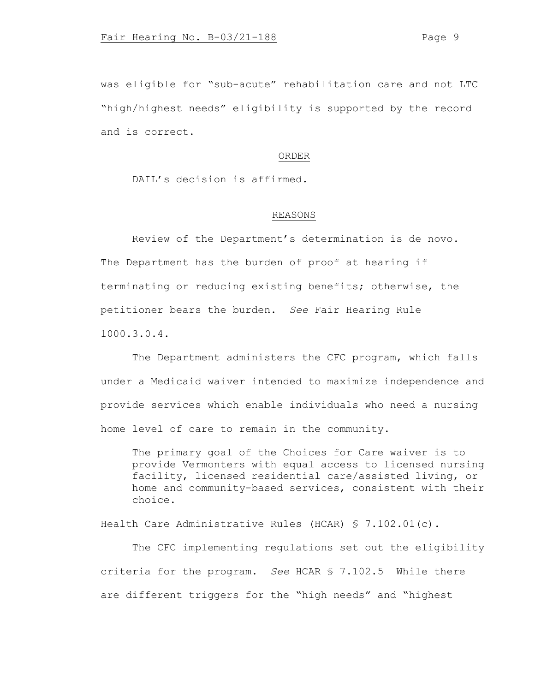was eligible for "sub-acute" rehabilitation care and not LTC "high/highest needs" eligibility is supported by the record and is correct.

### ORDER

DAIL's decision is affirmed.

## REASONS

Review of the Department's determination is de novo. The Department has the burden of proof at hearing if terminating or reducing existing benefits; otherwise, the petitioner bears the burden. *See* Fair Hearing Rule 1000.3.0.4.

The Department administers the CFC program, which falls under a Medicaid waiver intended to maximize independence and provide services which enable individuals who need a nursing home level of care to remain in the community.

The primary goal of the Choices for Care waiver is to provide Vermonters with equal access to licensed nursing facility, licensed residential care/assisted living, or home and community-based services, consistent with their choice.

Health Care Administrative Rules (HCAR) § 7.102.01(c).

The CFC implementing regulations set out the eligibility criteria for the program. *See* HCAR § 7.102.5 While there are different triggers for the "high needs" and "highest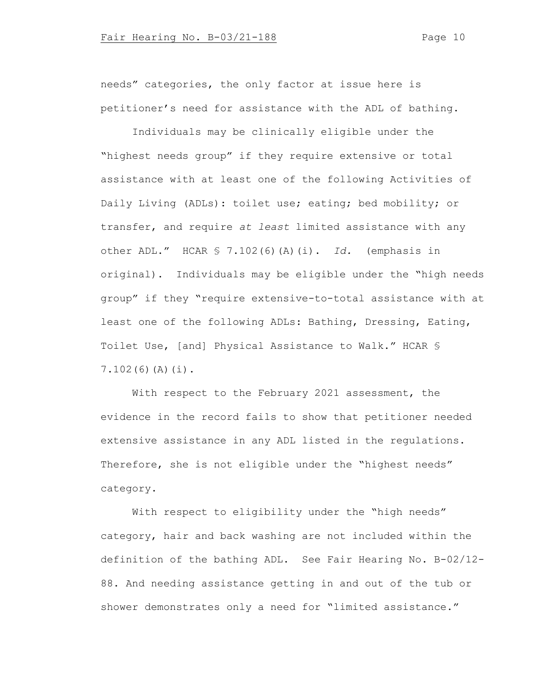needs" categories, the only factor at issue here is petitioner's need for assistance with the ADL of bathing.

Individuals may be clinically eligible under the "highest needs group" if they require extensive or total assistance with at least one of the following Activities of Daily Living (ADLs): toilet use; eating; bed mobility; or transfer, and require *at least* limited assistance with any other ADL." HCAR § 7.102(6)(A)(i). *Id.* (emphasis in original). Individuals may be eligible under the "high needs group" if they "require extensive-to-total assistance with at least one of the following ADLs: Bathing, Dressing, Eating, Toilet Use, [and] Physical Assistance to Walk." HCAR § 7.102(6)(A)(i).

With respect to the February 2021 assessment, the evidence in the record fails to show that petitioner needed extensive assistance in any ADL listed in the regulations. Therefore, she is not eligible under the "highest needs" category.

With respect to eligibility under the "high needs" category, hair and back washing are not included within the definition of the bathing ADL. See Fair Hearing No. B-02/12- 88. And needing assistance getting in and out of the tub or shower demonstrates only a need for "limited assistance."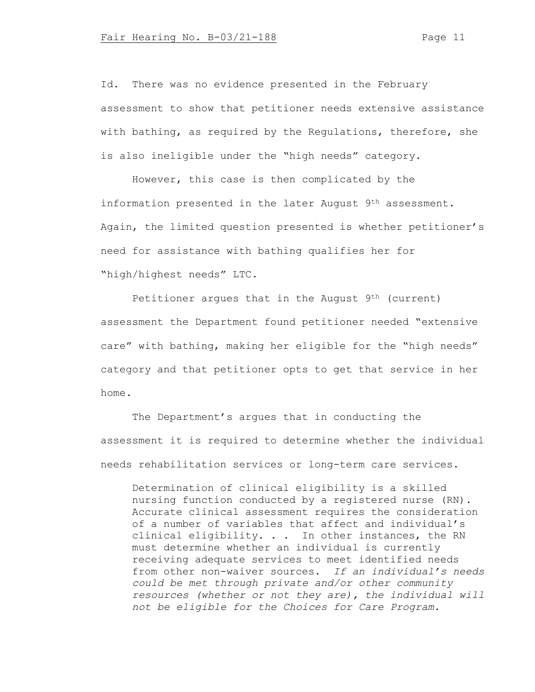Id. There was no evidence presented in the February assessment to show that petitioner needs extensive assistance with bathing, as required by the Regulations, therefore, she is also ineligible under the "high needs" category.

However, this case is then complicated by the information presented in the later August 9th assessment. Again, the limited question presented is whether petitioner's need for assistance with bathing qualifies her for "high/highest needs" LTC.

Petitioner argues that in the August 9<sup>th</sup> (current) assessment the Department found petitioner needed "extensive care" with bathing, making her eligible for the "high needs" category and that petitioner opts to get that service in her home.

The Department's argues that in conducting the assessment it is required to determine whether the individual needs rehabilitation services or long-term care services.

Determination of clinical eligibility is a skilled nursing function conducted by a registered nurse (RN). Accurate clinical assessment requires the consideration of a number of variables that affect and individual's clinical eligibility. . . In other instances, the RN must determine whether an individual is currently receiving adequate services to meet identified needs from other non-waiver sources. *If an individual's needs could be met through private and/or other community resources (whether or not they are), the individual will not be eligible for the Choices for Care Program*.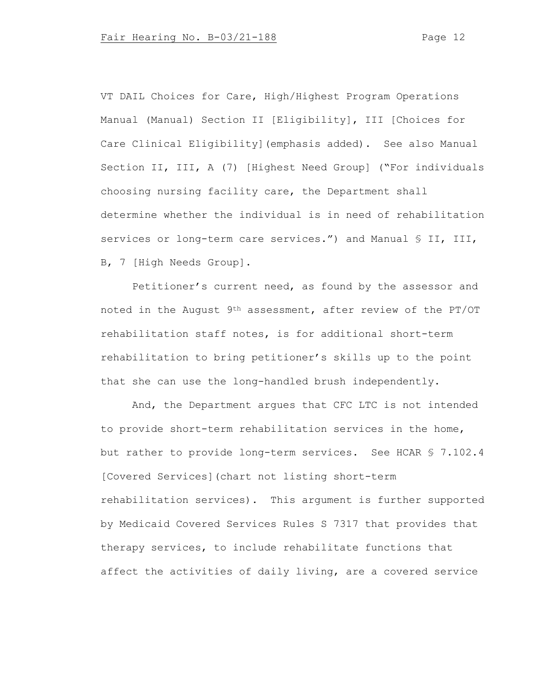VT DAIL Choices for Care, High/Highest Program Operations Manual (Manual) Section II [Eligibility], III [Choices for Care Clinical Eligibility](emphasis added). See also Manual Section II, III, A (7) [Highest Need Group] ("For individuals choosing nursing facility care, the Department shall determine whether the individual is in need of rehabilitation services or long-term care services.") and Manual § II, III, B, 7 [High Needs Group].

Petitioner's current need, as found by the assessor and noted in the August 9th assessment, after review of the PT/OT rehabilitation staff notes, is for additional short-term rehabilitation to bring petitioner's skills up to the point that she can use the long-handled brush independently.

And, the Department argues that CFC LTC is not intended to provide short-term rehabilitation services in the home, but rather to provide long-term services. See HCAR § 7.102.4 [Covered Services](chart not listing short-term rehabilitation services). This argument is further supported by Medicaid Covered Services Rules S 7317 that provides that therapy services, to include rehabilitate functions that affect the activities of daily living, are a covered service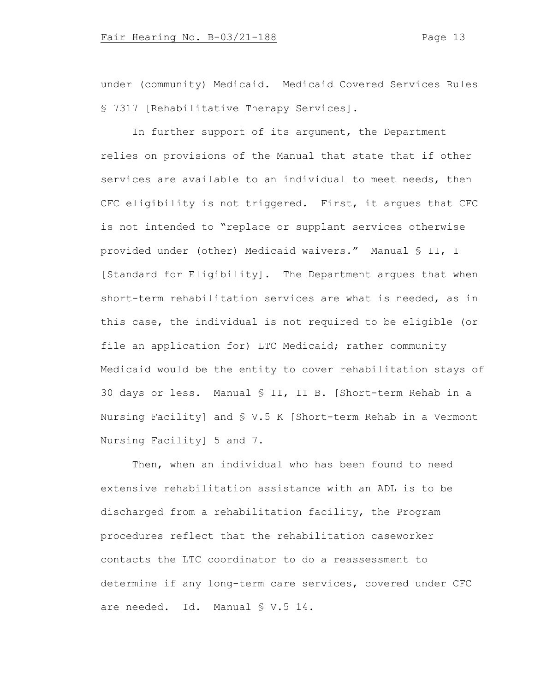under (community) Medicaid. Medicaid Covered Services Rules § 7317 [Rehabilitative Therapy Services].

In further support of its argument, the Department relies on provisions of the Manual that state that if other services are available to an individual to meet needs, then CFC eligibility is not triggered. First, it argues that CFC is not intended to "replace or supplant services otherwise provided under (other) Medicaid waivers." Manual § II, I [Standard for Eligibility]. The Department argues that when short-term rehabilitation services are what is needed, as in this case, the individual is not required to be eligible (or file an application for) LTC Medicaid; rather community Medicaid would be the entity to cover rehabilitation stays of 30 days or less. Manual § II, II B. [Short-term Rehab in a Nursing Facility] and § V.5 K [Short-term Rehab in a Vermont Nursing Facility] 5 and 7.

Then, when an individual who has been found to need extensive rehabilitation assistance with an ADL is to be discharged from a rehabilitation facility, the Program procedures reflect that the rehabilitation caseworker contacts the LTC coordinator to do a reassessment to determine if any long-term care services, covered under CFC are needed. Id. Manual § V.5 14.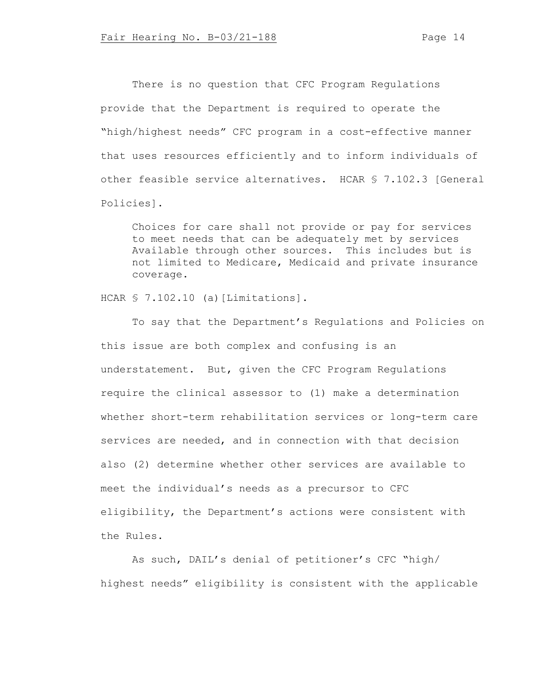There is no question that CFC Program Regulations provide that the Department is required to operate the "high/highest needs" CFC program in a cost-effective manner that uses resources efficiently and to inform individuals of other feasible service alternatives. HCAR § 7.102.3 [General Policies].

Choices for care shall not provide or pay for services to meet needs that can be adequately met by services Available through other sources. This includes but is not limited to Medicare, Medicaid and private insurance coverage.

HCAR § 7.102.10 (a) [Limitations].

To say that the Department's Regulations and Policies on this issue are both complex and confusing is an understatement. But, given the CFC Program Regulations require the clinical assessor to (1) make a determination whether short-term rehabilitation services or long-term care services are needed, and in connection with that decision also (2) determine whether other services are available to meet the individual's needs as a precursor to CFC eligibility, the Department's actions were consistent with the Rules.

As such, DAIL's denial of petitioner's CFC "high/ highest needs" eligibility is consistent with the applicable